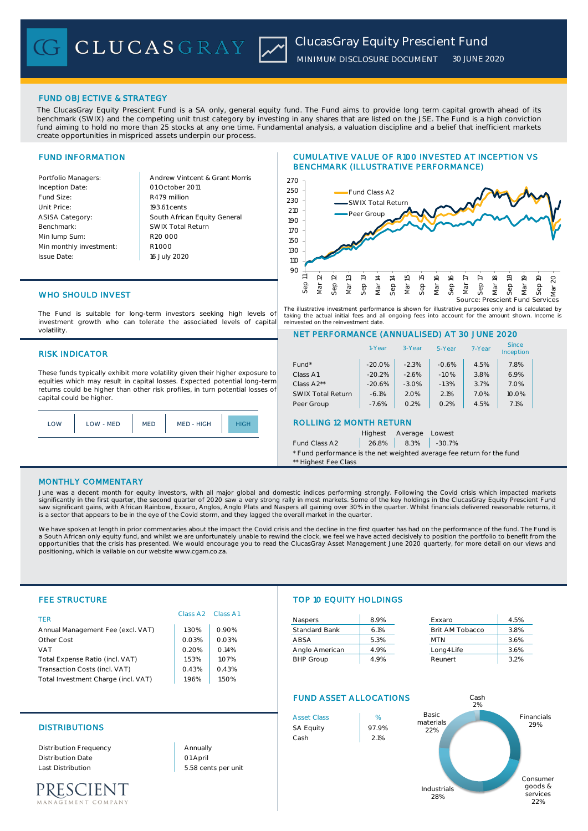# FUND OBJECTIVE & STRATEGY

The ClucasGray Equity Prescient Fund is a SA only, general equity fund. The Fund aims to provide long term capital growth ahead of its benchmark (SWIX) and the competing unit trust category by investing in any shares that are listed on the JSE. The Fund is a high conviction fund aiming to hold no more than 25 stocks at any one time. Fundamental analysis, a valuation discipline and a belief that inefficient markets create opportunities in mispriced assets underpin our process.

# FUND INFORMATION

Inception Date: Fund Size: R479 million Unit Price: ASISA Category: Benchmark: Min lump Sum: Min monthly investment: Issue Date:

Portfolio Managers: Andrew Vintcent & Grant Morris South African Equity General 193.61 cents R1 000 01 October 2011 16 July 2020 R20 000 SWIX Total Return

# CUMULATIVE VALUE OF R100 INVESTED AT INCEPTION VS BENCHMARK (ILLUSTRATIVE PERFORMANCE)



The illustrative investment performance is shown for illustrative purposes only and is calculated by taking the actual initial fees and all ongoing fees into account for the amount shown. Income is reinvested on the reinvestment date.

NET PERFORMANCE (ANNUALISED) AT 30 JUNE 2020

# WHO SHOULD INVEST

The Fund is suitable for long-term investors seeking high levels of investment growth who can tolerate the associated levels of capital volatility.

## RISK INDICATOR

These funds typically exhibit more volatility given their higher exposure to equities which may result in capital losses. Expected potential long-term returns could be higher than other risk profiles, in turn potential losses of capital could be higher.



# Fund\* 1.8% -20.0% -2.3% -0.6% 4.5% 7.8% Class A1  $\vert$  -20.2%  $\vert$  -2.6%  $\vert$  -1.0%  $\vert$  3.8%  $\vert$  6.9% Class A2\*\* -20.6% -3.0% -1.3% 3.7% 7.0% SWIX Total Return | -6.1% | 2.0% | 2.1% | 7.0% | 10.0% Peer Group | -7.6% | 0.2% | 0.2% | 4.5% | 7.1% ROLLING 12 MONTH RETURN Highest Average Lowest 1-Year 3-Year 5-Year 7-Year **Since** Inception

Fund Class A2 | 26.8% | 8.3% | -30.7%

\* Fund performance is the net weighted average fee return for the fund \*\* Highest Fee Class

### MONTHLY COMMENTARY

June was a decent month for equity investors, with all major global and domestic indices performing strongly. Following the Covid crisis which impacted markets significantly in the first quarter, the second quarter of 2020 saw a very strong rally in most markets. Some of the key holdings in the ClucasGray Equity Prescient Fund<br>saw significant gains, with African Rainbow, Exxaro, is a sector that appears to be in the eye of the Covid storm, and they lagged the overall market in the quarter

We have spoken at length in prior commentaries about the impact the Covid crisis and the decline in the first quarter has had on the performance of the fund. The Fund is a South African only equity fund, and whilst we are unfortunately unable to rewind the clock, we feel we have acted decisively to position the portfolio to benefit from the opportunities that the crisis has presented. We would encourage you to read the ClucasGray Asset Management June 2020 quarterly, for more detail on our views and positioning, which ia vailable on our website www.cgam.co.za.

| <b>FEE STRUCTURE</b>                |                      |          |                               | <b>TOP 10 EQUITY HOLDINGS</b> |                 |      |  |
|-------------------------------------|----------------------|----------|-------------------------------|-------------------------------|-----------------|------|--|
| <b>TFR</b>                          | Class A <sub>2</sub> | Class A1 | <b>Naspers</b>                | 8.9%                          | Exxaro          | 4.5% |  |
| Annual Management Fee (excl. VAT)   | 1.30%                | 0.90%    | <b>Standard Bank</b>          | 6.1%                          | Brit AM Tobacco | 3.8% |  |
| Other Cost                          | 0.03%                | 0.03%    | ABSA                          | 5.3%                          | <b>MTN</b>      | 3.6% |  |
| <b>VAT</b>                          | 0.20%                | 0.14%    | Anglo American                | 4.9%                          | Long4Life       | 3.6% |  |
| Total Expense Ratio (incl. VAT)     | 1.53%                | 1.07%    | <b>BHP Group</b>              | 4.9%                          | Reunert         | 3.2% |  |
| Transaction Costs (incl. VAT)       | 0.43%                | 0.43%    |                               |                               |                 |      |  |
| Total Investment Charge (incl. VAT) | 1.96%                | 1.50%    |                               |                               |                 |      |  |
|                                     |                      |          | <b>FUND ASSET ALLOCATIONS</b> |                               | Cash<br>2%      |      |  |

# DISTRIBUTIONS SA Equity 197.9%

Distribution Frequency Distribution Date Last Distribution 5.58 cents per unit

01 April Annually



22%

# PRESCIENT .<br>EMENT COMPANY